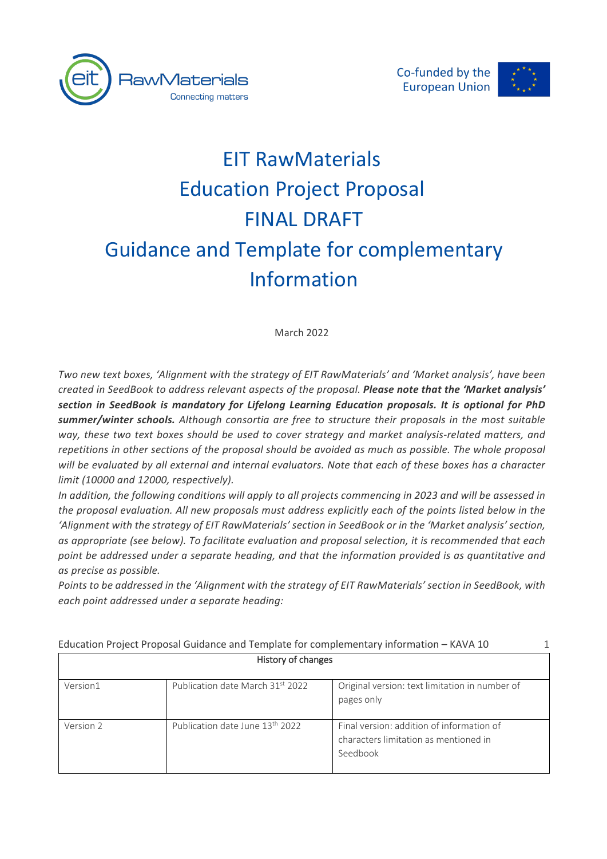



# EIT RawMaterials Education Project Proposal FINAL DRAFT Guidance and Template for complementary Information

March 2022

*Two new text boxes, 'Alignment with the strategy of EIT RawMaterials' and 'Market analysis', have been created in SeedBook to address relevant aspects of the proposal. Please note that the 'Market analysis' section in SeedBook is mandatory for Lifelong Learning Education proposals. It is optional for PhD summer/winter schools. Although consortia are free to structure their proposals in the most suitable way, these two text boxes should be used to cover strategy and market analysis-related matters, and repetitions in other sections of the proposal should be avoided as much as possible. The whole proposal will be evaluated by all external and internal evaluators. Note that each of these boxes has a character limit (10000 and 12000, respectively).* 

*In addition, the following conditions will apply to all projects commencing in 2023 and will be assessed in the proposal evaluation. All new proposals must address explicitly each of the points listed below in the 'Alignment with the strategy of EIT RawMaterials' section in SeedBook or in the 'Market analysis' section, as appropriate (see below). To facilitate evaluation and proposal selection, it is recommended that each point be addressed under a separate heading, and that the information provided is as quantitative and as precise as possible.* 

*Points to be addressed in the 'Alignment with the strategy of EIT RawMaterials' section in SeedBook, with each point addressed under a separate heading:*

| History of changes |                                             |                                                                                                |  |
|--------------------|---------------------------------------------|------------------------------------------------------------------------------------------------|--|
| Version1           | Publication date March 31st 2022            | Original version: text limitation in number of<br>pages only                                   |  |
| Version 2          | Publication date June 13 <sup>th</sup> 2022 | Final version: addition of information of<br>characters limitation as mentioned in<br>Seedbook |  |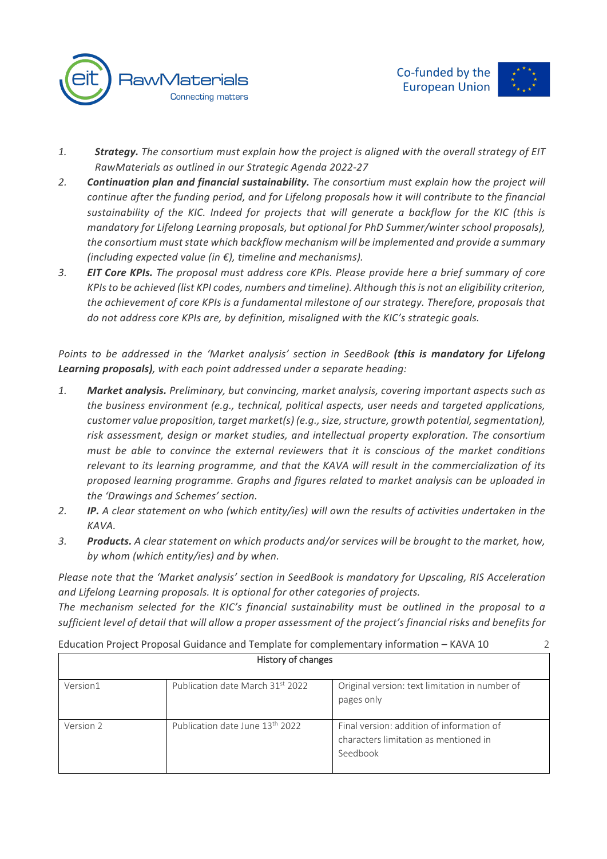

- *1. Strategy. The consortium must explain how the project is aligned with the overall strategy of EIT RawMaterials as outlined in our Strategic Agenda 2022-27*
- *2. Continuation plan and financial sustainability. The consortium must explain how the project will continue after the funding period, and for Lifelong proposals how it will contribute to the financial sustainability of the KIC. Indeed for projects that will generate a backflow for the KIC (this is mandatory for Lifelong Learning proposals, but optional for PhD Summer/winter school proposals), the consortium must state which backflow mechanism will be implemented and provide a summary (including expected value (in €), timeline and mechanisms).*
- *3. EIT Core KPIs. The proposal must address core KPIs. Please provide here a brief summary of core KPIs to be achieved (list KPI codes, numbers and timeline). Although this is not an eligibility criterion, the achievement of core KPIs is a fundamental milestone of our strategy. Therefore, proposals that do not address core KPIs are, by definition, misaligned with the KIC's strategic goals.*

*Points to be addressed in the 'Market analysis' section in SeedBook (this is mandatory for Lifelong Learning proposals), with each point addressed under a separate heading:*

- *1. Market analysis. Preliminary, but convincing, market analysis, covering important aspects such as the business environment (e.g., technical, political aspects, user needs and targeted applications, customer value proposition, target market(s) (e.g., size, structure, growth potential, segmentation), risk assessment, design or market studies, and intellectual property exploration. The consortium must be able to convince the external reviewers that it is conscious of the market conditions relevant to its learning programme, and that the KAVA will result in the commercialization of its proposed learning programme. Graphs and figures related to market analysis can be uploaded in the 'Drawings and Schemes' section.*
- *2. IP. A clear statement on who (which entity/ies) will own the results of activities undertaken in the KAVA.*
- *3. Products. A clear statement on which products and/or services will be brought to the market, how, by whom (which entity/ies) and by when.*

*Please note that the 'Market analysis' section in SeedBook is mandatory for Upscaling, RIS Acceleration and Lifelong Learning proposals. It is optional for other categories of projects.*

*The mechanism selected for the KIC's financial sustainability must be outlined in the proposal to a sufficient level of detail that will allow a proper assessment of the project's financial risks and benefits for*

| Education Project Proposal Guidance and Template for complementary information - KAVA 10 |                                             |                                                                                                |
|------------------------------------------------------------------------------------------|---------------------------------------------|------------------------------------------------------------------------------------------------|
| History of changes                                                                       |                                             |                                                                                                |
| Version1                                                                                 | Publication date March 31st 2022            | Original version: text limitation in number of<br>pages only                                   |
| Version 2                                                                                | Publication date June 13 <sup>th</sup> 2022 | Final version: addition of information of<br>characters limitation as mentioned in<br>Seedbook |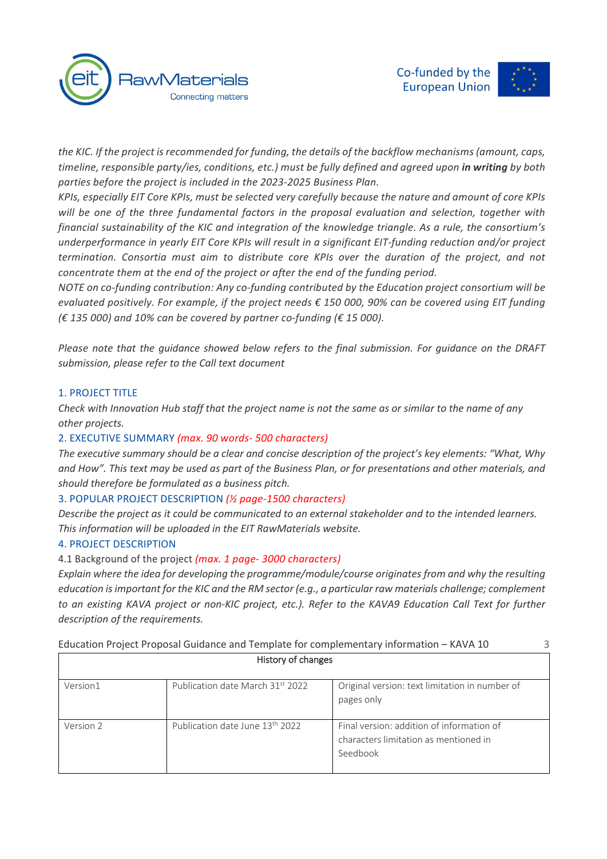

*the KIC. If the project is recommended for funding, the details of the backflow mechanisms (amount, caps, timeline, responsible party/ies, conditions, etc.) must be fully defined and agreed upon in writing by both parties before the project is included in the 2023-2025 Business Plan.* 

*KPIs, especially EIT Core KPIs, must be selected very carefully because the nature and amount of core KPIs will be one of the three fundamental factors in the proposal evaluation and selection, together with financial sustainability of the KIC and integration of the knowledge triangle. As a rule, the consortium's underperformance in yearly EIT Core KPIs will result in a significant EIT-funding reduction and/or project termination. Consortia must aim to distribute core KPIs over the duration of the project, and not concentrate them at the end of the project or after the end of the funding period.*

*NOTE on co-funding contribution: Any co-funding contributed by the Education project consortium will be evaluated positively. For example, if the project needs € 150 000, 90% can be covered using EIT funding (€ 135 000) and 10% can be covered by partner co-funding (€ 15 000).*

*Please note that the guidance showed below refers to the final submission. For guidance on the DRAFT submission, please refer to the Call text document*

#### 1. PROJECT TITLE

*Check with Innovation Hub staff that the project name is not the same as or similar to the name of any other projects.*

# 2. EXECUTIVE SUMMARY *(max. 90 words- 500 characters)*

*The executive summary should be a clear and concise description of the project's key elements: "What, Why and How". This text may be used as part of the Business Plan, or for presentations and other materials, and should therefore be formulated as a business pitch.*

# 3. POPULAR PROJECT DESCRIPTION *(½ page-1500 characters)*

*Describe the project as it could be communicated to an external stakeholder and to the intended learners. This information will be uploaded in the EIT RawMaterials website.*

#### 4. PROJECT DESCRIPTION

4.1 Background of the project *(max. 1 page- 3000 characters)*

*Explain where the idea for developing the programme/module/course originates from and why the resulting education is important for the KIC and the RM sector (e.g., a particular raw materials challenge; complement to an existing KAVA project or non-KIC project, etc.). Refer to the KAVA9 Education Call Text for further description of the requirements.*

| History of changes |                                             |                                                                                                |
|--------------------|---------------------------------------------|------------------------------------------------------------------------------------------------|
| Version1           | Publication date March 31st 2022            | Original version: text limitation in number of<br>pages only                                   |
| Version 2          | Publication date June 13 <sup>th</sup> 2022 | Final version: addition of information of<br>characters limitation as mentioned in<br>Seedbook |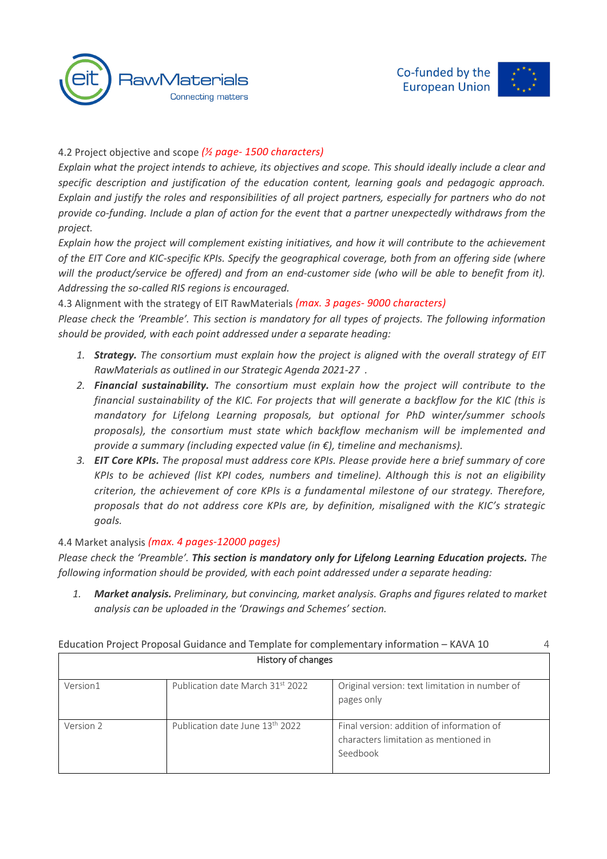



# 4.2 Project objective and scope *(½ page- 1500 characters)*

*Explain what the project intends to achieve, its objectives and scope. This should ideally include a clear and specific description and justification of the education content, learning goals and pedagogic approach. Explain and justify the roles and responsibilities of all project partners, especially for partners who do not provide co-funding. Include a plan of action for the event that a partner unexpectedly withdraws from the project.*

*Explain how the project will complement existing initiatives, and how it will contribute to the achievement of the EIT Core and KIC-specific KPIs. Specify the geographical coverage, both from an offering side (where will the product/service be offered) and from an end-customer side (who will be able to benefit from it). Addressing the so-called RIS regions is encouraged.*

4.3 Alignment with the strategy of EIT RawMaterials *(max. 3 pages- 9000 characters)*

*Please check the 'Preamble'. This section is mandatory for all types of projects. The following information should be provided, with each point addressed under a separate heading:*

- *1. Strategy. The consortium must explain how the project is aligned with the overall strategy of EIT RawMaterials as outlined in our Strategic Agenda 2021-27 .*
- *2. Financial sustainability. The consortium must explain how the project will contribute to the financial sustainability of the KIC. For projects that will generate a backflow for the KIC (this is mandatory for Lifelong Learning proposals, but optional for PhD winter/summer schools proposals), the consortium must state which backflow mechanism will be implemented and provide a summary (including expected value (in €), timeline and mechanisms).*
- *3. EIT Core KPIs. The proposal must address core KPIs. Please provide here a brief summary of core KPIs to be achieved (list KPI codes, numbers and timeline). Although this is not an eligibility criterion, the achievement of core KPIs is a fundamental milestone of our strategy. Therefore, proposals that do not address core KPIs are, by definition, misaligned with the KIC's strategic goals.*

# 4.4 Market analysis *(max. 4 pages-12000 pages)*

*Please check the 'Preamble'. This section is mandatory only for Lifelong Learning Education projects. The following information should be provided, with each point addressed under a separate heading:*

*1. Market analysis. Preliminary, but convincing, market analysis. Graphs and figures related to market analysis can be uploaded in the 'Drawings and Schemes' section.*

| Education Project Proposal Guidance and Template for complementary information - KAVA 10 |  |
|------------------------------------------------------------------------------------------|--|
|                                                                                          |  |

| <b>HISTOLY OF CHANGES</b> |                                             |                                                                                                |
|---------------------------|---------------------------------------------|------------------------------------------------------------------------------------------------|
| Version1                  | Publication date March 31st 2022            | Original version: text limitation in number of<br>pages only                                   |
| Version 2                 | Publication date June 13 <sup>th</sup> 2022 | Final version: addition of information of<br>characters limitation as mentioned in<br>Seedbook |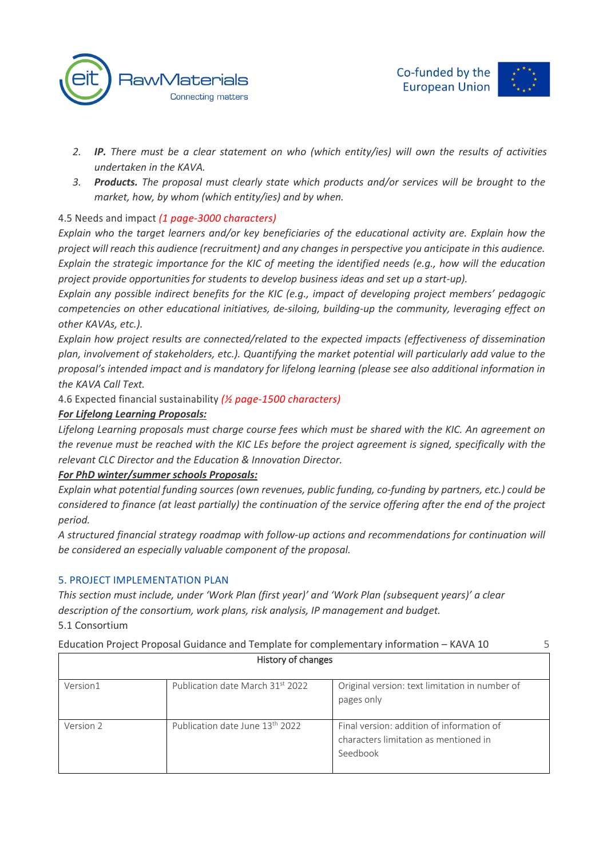



- *2. IP. There must be a clear statement on who (which entity/ies) will own the results of activities undertaken in the KAVA.*
- *3. Products. The proposal must clearly state which products and/or services will be brought to the market, how, by whom (which entity/ies) and by when.*

# 4.5 Needs and impact *(1 page-3000 characters)*

*Explain who the target learners and/or key beneficiaries of the educational activity are. Explain how the project will reach this audience (recruitment) and any changes in perspective you anticipate in this audience. Explain the strategic importance for the KIC of meeting the identified needs (e.g., how will the education project provide opportunities for students to develop business ideas and set up a start-up).*

*Explain any possible indirect benefits for the KIC (e.g., impact of developing project members' pedagogic competencies on other educational initiatives, de-siloing, building-up the community, leveraging effect on other KAVAs, etc.).*

*Explain how project results are connected/related to the expected impacts (effectiveness of dissemination plan, involvement of stakeholders, etc.). Quantifying the market potential will particularly add value to the proposal's intended impact and is mandatory for lifelong learning (please see also additional information in the KAVA Call Text.*

4.6 Expected financial sustainability *(½ page-1500 characters)*

# *For Lifelong Learning Proposals:*

*Lifelong Learning proposals must charge course fees which must be shared with the KIC. An agreement on the revenue must be reached with the KIC LEs before the project agreement is signed, specifically with the relevant CLC Director and the Education & Innovation Director.* 

# *For PhD winter/summer schools Proposals:*

*Explain what potential funding sources (own revenues, public funding, co-funding by partners, etc.) could be considered to finance (at least partially) the continuation of the service offering after the end of the project period.*

*A structured financial strategy roadmap with follow-up actions and recommendations for continuation will be considered an especially valuable component of the proposal.*

# 5. PROJECT IMPLEMENTATION PLAN

*This section must include, under 'Work Plan (first year)' and 'Work Plan (subsequent years)' a clear description of the consortium, work plans, risk analysis, IP management and budget.* 5.1 Consortium

| History of changes |                                             |                                                                                                |  |
|--------------------|---------------------------------------------|------------------------------------------------------------------------------------------------|--|
| Version1           | Publication date March 31st 2022            | Original version: text limitation in number of<br>pages only                                   |  |
| Version 2          | Publication date June 13 <sup>th</sup> 2022 | Final version: addition of information of<br>characters limitation as mentioned in<br>Seedbook |  |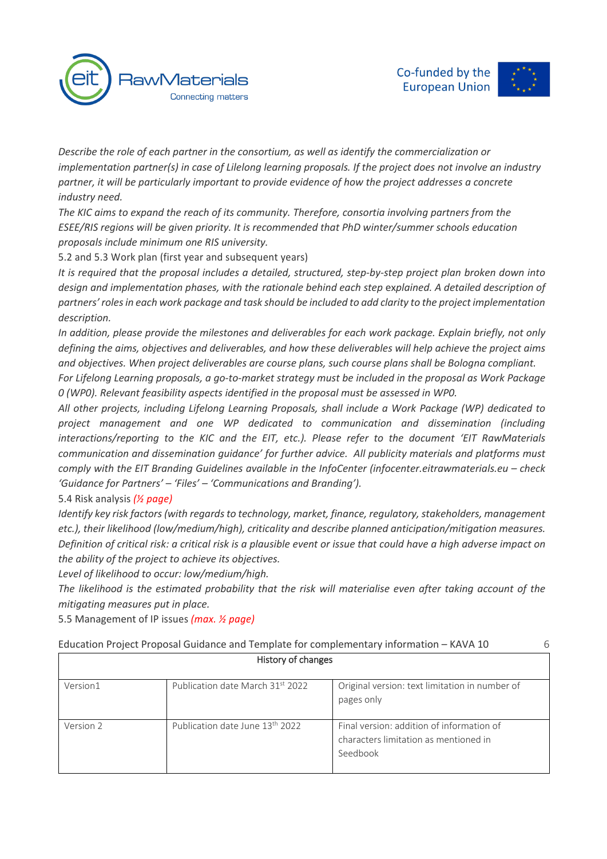



*Describe the role of each partner in the consortium, as well as identify the commercialization or implementation partner(s) in case of Lilelong learning proposals. If the project does not involve an industry partner, it will be particularly important to provide evidence of how the project addresses a concrete industry need.*

*The KIC aims to expand the reach of its community. Therefore, consortia involving partners from the ESEE/RIS regions will be given priority. It is recommended that PhD winter/summer schools education proposals include minimum one RIS university.* 

5.2 and 5.3 Work plan (first year and subsequent years)

*It is required that the proposal includes a detailed, structured, step-by-step project plan broken down into design and implementation phases, with the rationale behind each step* ex*plained. A detailed description of partners' roles in each work package and task should be included to add clarity to the project implementation description.*

*In addition, please provide the milestones and deliverables for each work package. Explain briefly, not only defining the aims, objectives and deliverables, and how these deliverables will help achieve the project aims and objectives. When project deliverables are course plans, such course plans shall be Bologna compliant.*

*For Lifelong Learning proposals, a go-to-market strategy must be included in the proposal as Work Package 0 (WP0). Relevant feasibility aspects identified in the proposal must be assessed in WP0.* 

*All other projects, including Lifelong Learning Proposals, shall include a Work Package (WP) dedicated to project management and one WP dedicated to communication and dissemination (including interactions/reporting to the KIC and the EIT, etc.). Please refer to the document 'EIT RawMaterials communication and dissemination guidance' for further advice. All publicity materials and platforms must comply with the EIT Branding Guidelines available in the InfoCenter (infocenter.eitrawmaterials.eu – check 'Guidance for Partners' – 'Files' – 'Communications and Branding').*

# 5.4 Risk analysis *(½ page)*

*Identify key risk factors (with regards to technology, market, finance, regulatory, stakeholders, management etc.), their likelihood (low/medium/high), criticality and describe planned anticipation/mitigation measures. Definition of critical risk: a critical risk is a plausible event or issue that could have a high adverse impact on the ability of the project to achieve its objectives.*

*Level of likelihood to occur: low/medium/high.*

*The likelihood is the estimated probability that the risk will materialise even after taking account of the mitigating measures put in place.*

5.5 Management of IP issues *(max. ½ page)*

| History of changes |                                             |                                                                                                |  |
|--------------------|---------------------------------------------|------------------------------------------------------------------------------------------------|--|
| Version1           | Publication date March 31st 2022            | Original version: text limitation in number of<br>pages only                                   |  |
| Version 2          | Publication date June 13 <sup>th</sup> 2022 | Final version: addition of information of<br>characters limitation as mentioned in<br>Seedbook |  |